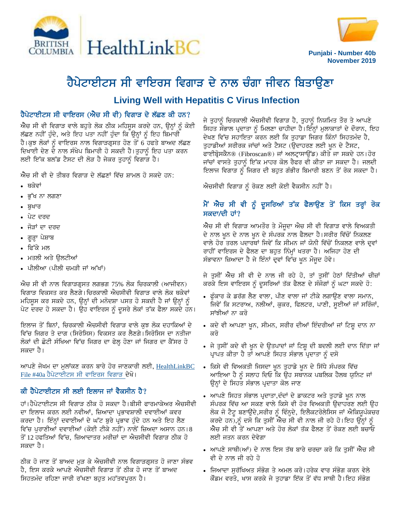



**Punjabi - Number 40b November 2019**

# ਹੈਪੇਟਾਈਟਸ ਸੀ ਵਾਇਰਸ ਵਿਗਾੜ ਦੇ ਨਾਲ ਚੰਗਾ ਜੀਵਨ ਬਿਤਾਉਣਾ

# **Living Well with Hepatitis C Virus Infection**

#### ਹੈਪੇਟਾਈਟਸ ਸੀ ਵਾਇਰਸ (ਐਚ ਸੀ ਵੀ) ਵਿਗਾੜ ਦੇ ਲੱਛਣ ਕੀ ਹਨ?

ਐਚ ਸੀ ਵੀ ਵਿਗਾੜ ਵਾਲੇ ਬਹੁਤੇ ਲੋਕ ਠੀਕ ਮਹਿਸੁਸ ਕਰਦੇ ਹਨ, ਉਨ੍ਹਾਂ ਨੂੰ ਕੋਈ ਲੱਛਣ ਨਹੀਂ ਹੁੰਦੇ, ਅਤੇ ਇਹ ਪਤਾ ਨਹੀਂ ਹੁੰਦਾ ਕਿ ਉਨ੍ਹਾਂ ਨੂੰ ਇਹ ਬਿਮਾਰੀ ਹੈ।ਕਝ ਲੋਕਾਂ ਨੰ ਵਾਇਰਸ ਨਾਲ ਵਿਗਾੜਗੁਸਤ ਹੋਣ ਤੋਂ 6 ਹਫਤੇ ਬਾਅਦ ਲੱਛਣ ਦਿਖਾਈ ਦੇਣ ਦੇ ਨਾਲ ਸੰਖੇਪ ਬਿਮਾਰੀ ਹੋ ਸਕਦੀ ਹੈ।ਤੁਹਾਨੂੰ ਇਹ ਪਤਾ ਕਰਨ ਲਈ ਇੱਕ ਬਲੱਡ ਟੈਸਟ ਦੀ ਲੋੜ ਹੈ ਜੇਕਰ ਤੁਹਾਨੂੰ ਵਿਗਾੜ ਹੈ।

<u>ਐਚ ਸੀ ਵੀ ਦੇ ਤੀਬਰ ਵਿਗਾੜ ਦੇ ਲੱਛਣਾਂ ਵਿੱਚ ਸ਼ਾਮਲ ਹੋ ਸਕਦੇ ਹਨ:</u>

- $\overline{\phantom{a}}$ ਬਕੇਵਾਂ
- ∙ ਭੱਖ ਨਾ ਲਗਣਾ
- $\bullet$  ਬਖਾਰ
- ਪੇਟ ਦਰਦ
- ਜੋੜਾਂ ਦਾ ਦਰਦ
- ਗੁੜ੍ਹਾ ਪੇਸ਼ਾਬ
- ∙ ਫਿੱਕੇ ਮਲ
- ਮਤਲੀ ਅਤੇ ਉਲਟੀਆਂ
- ਪੀਲੀਆ (ਪੀਲੀ ਚਮੜੀ ਜਾਂ ਅੱਖਾਂ)

 $\hat{\mathcal{M}}$ ਚ ਸੀ ਵੀ ਨਾਲ ਵਿਗਾੜਗ੍ਰਸਤ ਲਗਭਗ 75% ਲੋਕ ਚਿਰਕਾਲੀ (ਆਜੀਵਨ) ਵਿਗਾਤ ਵਿਕਸਤ ਕਰ ਲੈਣਗੇ। ਚਿਰਕਾਲੀ ਐਚਸੀਵੀ ਵਿਗਾੜ ਵਾਲੇ ਲੋਕ ਥਕੇਵਾਂ ਮਹਿਸੁਸ ਕਰ ਸਕਦੇ ਹਨ, ਉਨ੍ਹਾਂ ਦੀ ਮਨੋਦਸ਼ਾ ਪਸਤ ਹੋ ਸਕਦੀ ਹੈ ਜਾਂ ਉਨ੍ਹਾਂ ਨੂੰ ਪੇਟ ਦਰਦ ਹੋ ਸਕਦਾ ਹੈ। ਉਹ ਵਾਇਰਸ ਨੂੰ ਦੂਸਰੇ ਲੋਕਾਂ ਤੱਕ ਫੈਲਾ ਸਕਦੇ ਹਨ।

ਇਲਾਜ ਤੋਂ ਬਿਨਾਂ, ਚਿਰਕਾਲੀ ਐਚਸੀਵੀ ਵਿਗਾੜ ਵਾਲੇ ਕਝ ਲੋਕ ਦਹਾਕਿਆਂ ਦੇ ਵਿੱਚ ਜਿਗਰ ਤੇ ਦਾਗ (ਸਿਰੋਸਿਸ) ਵਿਕਸਤ ਕਰ ਲੈਣਗੇ।ਸਿਰੋਸਿਸ ਦਾ ਨਤੀਜਾ ਲੋਕਾਂ ਦੀ ਛੋਟੀ ਸੰਖਿਆ ਵਿੱਚ ਜਿਗਰ ਦਾ ਫੇਲ੍ਹ ਹੋਣਾ ਜਾਂ ਜਿਗਰ ਦਾ ਕੈਂਸਰ ਹੋ ਸਕਦਾ ਹੈ।

ਆਪਣੇ ਜੋਖਮ ਦਾ ਮੁਲਾਂਕਣ ਕਰਨ ਬਾਰੇ ਹੋਰ ਜਾਣਕਾਰੀ ਲਈ, HealthLinkBC File #40a ਹੈਪੇਟਾਈਟਸ ਸੀ ਵਾਇਰਸ ਵਿਗਾੜ ਦੇਖੋ।

#### ਕੀ ਹੈਪੇਟਾਈਟਸ ਸੀ ਲਈ ਇਲਾਜ ਜਾਂ ਵੈਕਸੀਨ ਹੈ?

ਹਾਂ।ਹੈਪੇਟਾਈਟਸ ਸੀ ਵਿਗਾੜ ਠੀਕ ਹੋ ਸਕਦਾ ਹੈ।ਬੀਸੀ ਫਾਰਮਾਕੇਅਰ ਐਚਸੀਵੀ ਦਾ ਇਲਾਜ ਕਰਨ ਲਈ ਨਵੀਆਂ, ਜ਼ਿਆਦਾ ਪਭਾਵਸ਼ਾਲੀ ਦਵਾਈਆਂ ਕਵਰ ਕਰਦਾ ਹੈ। ਇੰਨ੍ਹਾਂ ਦਵਾਈਆਂ ਦੇ ਘੱਟ ਬੁਰੇ ਪ੍ਰਭਾਵ ਹੁੰਦੇ ਹਨ ਅਤੇ ਇਹ ਲੈਣ ਵਿੱਚ ਪੁਰਾਣੀਆਂ ਦਵਾਈਆਂ (ਕੋਈ ਟੀਕੇ ਨਹੀਂ) ਨਾਲੋਂ ਜ਼ਿਅਦਾ ਅਸਾਨ ਹਨ।8 ਤੋਂ 12 ਹਫਤਿਆਂ ਵਿੱਚ, ਜ਼ਿਆਦਾਤਰ ਮਰੀਜ਼ਾਂ ਦਾ ਐਚਸੀਵੀ ਵਿਗਾੜ ਠੀਕ ਹੋ ਸਕਦਾ ਹੈ।

ਠੀਕ ਹੋ ਜਾਣ ਤੋਂ ਬਾਅਦ ਮੜ ਕੇ ਐਚਸੀਵੀ ਨਾਲ ਵਿਗਾੜਗੁਸਤ ਹੋ ਜਾਣਾ ਸੰਭਵ ਹੈ, ਇਸ ਕਰਕੇ ਆਪਣੇ ਐਚਸੀਵੀ ਵਿਗਾੜ ਤੋਂ ਠੀਕ ਹੋ ਜਾਣ ਤੋਂ ਬਾਅਦ ਸਿਹਤਮੰਦ ਰਹਿਣਾ ਜਾਰੀ ਰੱਖਣਾ ਬਹੁਤ ਮਹੱਤਵਪੂਰਨ ਹੈ।

ਜੇ ਤਹਾਨੰ ਚਿਰਕਾਲੀ ਐਚਸੀਵੀ ਵਿਗਾੜ ਹੈ, ਤਹਾਨੰ ਨਿਯਮਿਤ ਤੌਰ ਤੇ ਆਪਣੇ ਸਿਹਤ ਸੌਭਾਲ ਪ੍ਰਦਾਤਾ ਨੂੰ ਮਿਲਣਾ ਚਾਹੀਦਾ ਹੈ।ਇੰਨ੍ਹਾਂ ਮੁਲਾਕਾਤਾਂ ਦੇ ਦੌਰਾਨ, ਇਹ ਦੇਖਣ ਵਿੱਚ ਸਹਾਇਤਾ ਕਰਨ ਲਈ ਕਿ ਤੁਹਾਡਾ ਜਿਗਰ ਕਿੰਨਾਂ ਸਿਹਤਮੰਦ ਹੈ, ਤੁਹਾਡੀਆਂ ਸਰੀਰਕ ਜਾਂਚਾਂ ਅਤੇ ਟੈਸਟ (ਉਦਾਹਰਣ ਲਈ ਖੂਨ ਦੇ ਟੈਸਟ, ਫਾਈਬ੍ਰੋਸਕੈਨ® (Fibroscan®) ਜਾਂ ਅਲਟ੍ਰਾਸਾਉਂਡ) ਕੀਤੇ ਜਾ ਸਕਦੇ ਹਨ।ਹੋਰ ਜਾਂਚਾਂ ਵਾਸਤੇ ਤੁਹਾਨੂੰ ਇੱਕ ਮਾਹਰ ਕੋਲ ਰੈਫਰ ਵੀ ਕੀਤਾ ਜਾ ਸਕਦਾ ਹੈ। ਜਲਦੀ ਇਲਾਜ ਵਿਗਾੜ ਨੂੰ ਜਿਗਰ ਦੀ ਬਹੁਤ ਗੰਭੀਰ ਬਿਮਾਰੀ ਬਣਨ ਤੋਂ ਰੋਕ ਸਕਦਾ ਹੈ।

ਐਚਸੀਵੀ ਵਿਗਾੜ ਨੂੰ ਰੋਕਣ ਲਈ ਕੋਈ ਵੈਕਸੀਨ ਨਹੀਂ ਹੈ।

### ਮੈਂ ਐਚ ਸੀ ਵੀ ਨੂੰ ਦੂਸਰਿਆਂ ਤੱਕ ਫੈਲਾਉਣ ਤੋਂ ਕਿਸ ਤਰ੍ਹਾਂ ਰੋਕ ਸਕਦਾ/ਦੀ ਹਾਂ?

ਐਚ ਸੀ ਵੀ ਵਿਗਾੜ ਆਮਤੌਰ ਤੇ ਮੌਜੂਦਾ ਐਚ ਸੀ ਵੀ ਵਿਗਾੜ ਵਾਲੇ ਵਿਅਕਤੀ ਦੇ ਨਾਲ ਖੁਨ ਦੇ ਨਾਲ ਖੁਨ ਦੇ ਸੰਪਰਕ ਨਾਲ ਫੈਲਦਾ ਹੈ।ਸਰੀਰ ਵਿੱਚੋਂ ਨਿਕਲਣ ਵਾਲੇ ਹੋਰ ਤਰਲ ਪਦਾਰਥਾਂ ਜਿਵੇਂ ਕਿ ਸੀਮਨ ਜਾਂ ਯੋਨੀ ਵਿੱਚੋਂ ਨਿਕਲਣ ਵਾਲੇ ਦਵਾਂ ਰਾਹੀਂ ਵਾਇਰਸ ਦੇ ਫੈਲਣ ਦਾ ਬਹੁਤ ਨਿੰਮ੍ਹਾਂ ਖਤਰਾ ਹੈ। ਅਜਿਹਾ ਹੋਣ ਦੀ ਸੰਭਾਵਨਾ ਜ਼ਿਆਦਾ ਹੈ ਜੇ ਇੰਨਾਂ ਦ੍ਵਾਂ ਵਿੱਚ ਖੁਨ ਮੌਜੂਦ ਹੋਵੇ।

ਜੇ ਤੁਸੀਂ ਐਚ ਸੀ ਵੀ ਦੇ ਨਾਲ ਜੀ ਰਹੇ ਹੋ, ਤਾਂ ਤੁਸੀਂ ਹੇਠਾਂ ਦਿੱਤੀਆਂ ਚੀਜ਼ਾਂ ਕਰਕੇ ਇਸ ਵਾਇਰਸ ਨੂੰ ਦੁਸਰਿਆਂ ਤੱਕ ਫੈਲਣ ਦੇ ਸੰਜੋਗਾਂ ਨੂੰ ਘਟਾ ਸਕਦੇ ਹੋ:

- ਫੁੰਕਾਰ ਕੇ ਡਰੱਗ ਲੈਣ ਵਾਲਾ, ਪੀਣ ਵਾਲਾ ਜਾਂ ਟੀਕੇ ਲਗਾਉਣ ਵਾਲਾ ਸਮਾਨ, ਜਿਵੇਂ ਕਿ ਸਟਰਾਅ, ਨਲੀਆਂ, ਕੁਕਰ, ਫਿਲਟਰ, ਪਾਣੀ, ਸੁਈਆਂ ਜਾਂ ਸਰਿੰਜਾਂ, ਸਾਂਝੀਆਂ ਨਾ ਕਰੋ
- ਕਦੇ ਵੀ ਆਪਣਾ ਖੁਨ, ਸੀਮਨ, ਸਰੀਰ ਦੀਆਂ ਇੰਦਰੀਆਂ ਜਾਂ ਟਿਸ਼ੂ ਦਾਨ ਨਾ ਕਰੋ
- ਜੇ ਤੁਸੀਂ ਕਦੇ ਵੀ ਖੁਨ ਦੇ ਉਤਪਾਦਾਂ ਜਾਂ ਟਿਸ਼ੂ ਦੀ ਬਦਲੀ ਲਈ ਦਾਨ ਦਿੱਤਾ ਜਾਂ ਪ੍ਰਾਪਤ ਕੀਤਾ ਹੈ ਤਾਂ ਆਪਣੇ ਸਿਹਤ ਸੰਭਾਲ ਪ੍ਰਦਾਤਾ ਨੂੰ ਦਸੋ
- ਕਿਸੇ ਵੀ ਵਿਅਕਤੀ ਜਿਸਦਾ ਖੁਨ ਤੁਹਾਡੇ ਖੁਨ ਦੇ ਸਿੱਧੇ ਸੰਪਰਕ ਵਿੱਚ ਆਇਆ ਹੈ ਨੰ ਸਲਾਹ ਦਿਓ ਕਿ ੳਹ ਸਥਾਨਕ ਪਬਲਿਕ ਹੈਲਥ ਯਨਿਟ ਜਾ<mark>ਂ</mark> ਉਨ੍ਹਾਂ ਦੇ ਸਿਹਤ ਸੰਭਾਲ ਪ੍ਰਦਾਤਾ ਕੋਲ ਜਾਣ
- ਆਪਣੇ ਸਿਹਤ ਸੰਭਾਲ ਪ੍ਰਦਾਤਾ,ਦੰਦਾਂ ਦੇ ਡਾਕਟਰ ਅਤੇ ਤੁਹਾਡੇ ਖੁਨ ਨਾਲ ਸੰਪਰਕ ਵਿੱਚ ਆ ਸਕਣ ਵਾਲੇ ਕਿਸੇ ਵੀ ਹੋਰ ਵਿਅਕਤੀ ੳਦਾਹਰਣ ਲਈ ੳਹ ਲੋਕ ਜੋ ਟੈਟੂ ਬਣਾਉਂਦੇ,ਸਰੀਰ ਨੂੰ ਵਿੰਨ੍ਹਦੇ, ਇਲੈਕਟਰੋਲੇਸਿਸ ਜਾਂ ਐਕਿਯੁਪੰਕਚਰ ਕਰਦੇ ਹਨ),ਨੂੰ ਦਸੋ ਕਿ ਤੁਸੀਂ ਐਚ ਸੀ ਵੀ ਨਾਲ ਜੀ ਰਹੇ ਹੋ।ਇਹ ਉਨ੍ਹਾਂ ਨੂੰ .<br>ਐਚ ਸੀ ਵੀ ਤੋਂ ਆਪਣਾ ਅਤੇ ਹੋਰ ਲੋਕਾਂ ਤੱਕ ਫੈਲਣ ਤੋਂ ਰੋਕਣ ਲਈ ਬਚਾਓ ਲਈ ਜਤਨ ਕਰਨ ਦੇਵੇਗਾ
- ਆਪਣੇ ਸਾਥੀ(ਆਂ) ਦੇ ਨਾਲ ਇਸ ਤੱਥ ਬਾਰੇ ਚਰਚਾ ਕਰੋ ਕਿ ਤੁਸੀਂ ਐਚ ਸੀ ਵੀ ਦੇ ਨਾਲ ਜੀ ਰਹੇ ਹੋ
- ਜਿਆਦਾ ਸੁਰੱਖਿਅਤ ਸੰਭੋਗ ਤੇ ਅਮਲ ਕਰੋ।ਹਰੇਕ ਵਾਰ ਸੰਭੋਗ ਕਰਨ ਵੇਲੇ ਕੌਡਮ ਵਰਤੋ, ਖਾਸ ਕਰਕੇ ਜੇ ਤੁਹਾਡਾ ਇੱਕ ਤੋਂ ਵੱਧ ਸਾਥੀ ਹੈ।ਇਹ ਸੰਭੋਗ